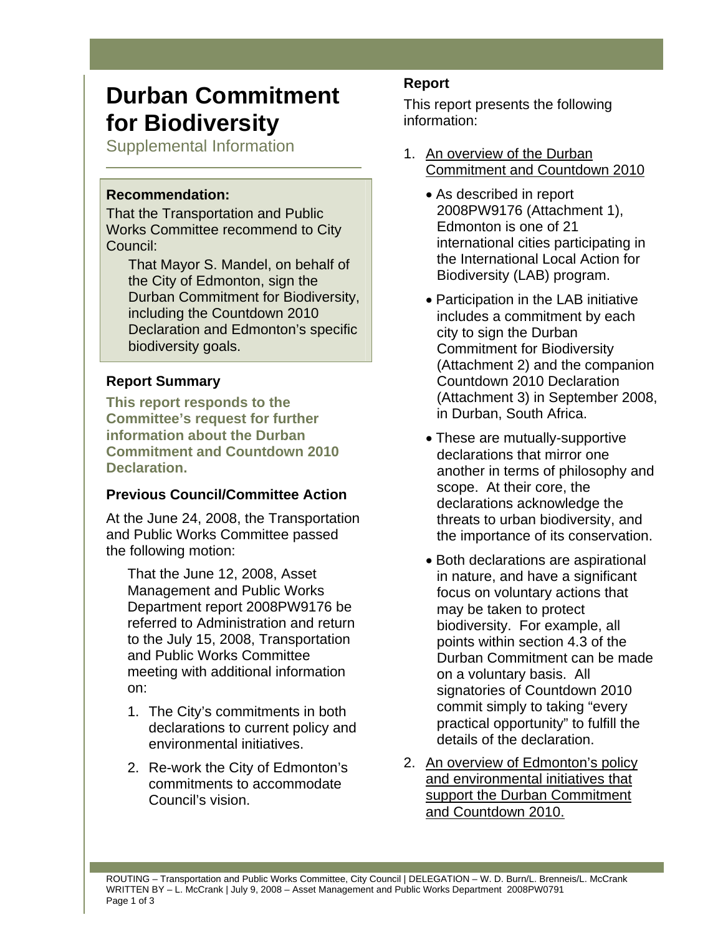# **Durban Commitment for Biodiversity**

Supplemental Information

### **Recommendation:**

That the Transportation and Public Works Committee recommend to City Council:

That Mayor S. Mandel, on behalf of the City of Edmonton, sign the Durban Commitment for Biodiversity, including the Countdown 2010 Declaration and Edmonton's specific biodiversity goals.

# **Report Summary**

**This report responds to the Committee's request for further information about the Durban Commitment and Countdown 2010 Declaration.** 

# **Previous Council/Committee Action**

At the June 24, 2008, the Transportation and Public Works Committee passed the following motion:

That the June 12, 2008, Asset Management and Public Works Department report 2008PW9176 be referred to Administration and return to the July 15, 2008, Transportation and Public Works Committee meeting with additional information on:

- 1. The City's commitments in both declarations to current policy and environmental initiatives.
- 2. Re-work the City of Edmonton's commitments to accommodate Council's vision.

# **Report**

This report presents the following information:

- 1. An overview of the Durban Commitment and Countdown 2010
	- As described in report 2008PW9176 (Attachment 1), Edmonton is one of 21 international cities participating in the International Local Action for Biodiversity (LAB) program.
	- Participation in the LAB initiative includes a commitment by each city to sign the Durban Commitment for Biodiversity (Attachment 2) and the companion Countdown 2010 Declaration (Attachment 3) in September 2008, in Durban, South Africa.
	- These are mutually-supportive declarations that mirror one another in terms of philosophy and scope. At their core, the declarations acknowledge the threats to urban biodiversity, and the importance of its conservation.
	- Both declarations are aspirational in nature, and have a significant focus on voluntary actions that may be taken to protect biodiversity. For example, all points within section 4.3 of the Durban Commitment can be made on a voluntary basis. All signatories of Countdown 2010 commit simply to taking "every practical opportunity" to fulfill the details of the declaration.
- 2. An overview of Edmonton's policy and environmental initiatives that support the Durban Commitment and Countdown 2010.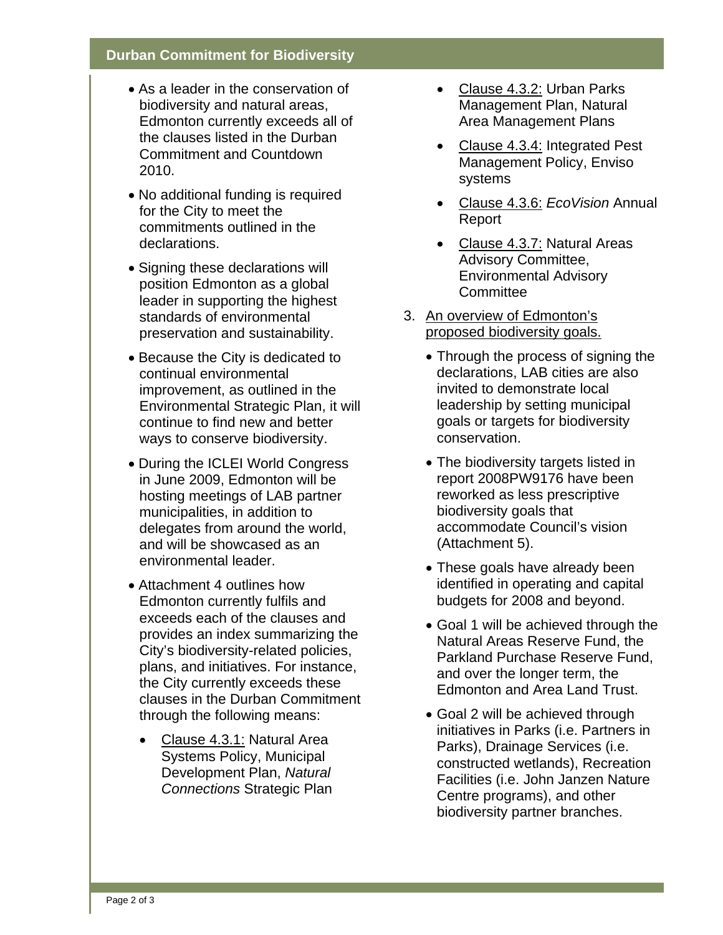#### **Durban Commitment for Biodiversity**

- As a leader in the conservation of biodiversity and natural areas, Edmonton currently exceeds all of the clauses listed in the Durban Commitment and Countdown 2010.
- No additional funding is required for the City to meet the commitments outlined in the declarations.
- Signing these declarations will position Edmonton as a global leader in supporting the highest standards of environmental preservation and sustainability.
- Because the City is dedicated to continual environmental improvement, as outlined in the Environmental Strategic Plan, it will continue to find new and better ways to conserve biodiversity.
- During the ICLEI World Congress in June 2009, Edmonton will be hosting meetings of LAB partner municipalities, in addition to delegates from around the world, and will be showcased as an environmental leader.
- Attachment 4 outlines how Edmonton currently fulfils and exceeds each of the clauses and provides an index summarizing the City's biodiversity-related policies, plans, and initiatives. For instance, the City currently exceeds these clauses in the Durban Commitment through the following means:
	- Clause 4.3.1: Natural Area Systems Policy, Municipal Development Plan, *Natural Connections* Strategic Plan
- Clause 4.3.2: Urban Parks Management Plan, Natural Area Management Plans
- Clause 4.3.4: Integrated Pest Management Policy, Enviso systems
- Clause 4.3.6: *EcoVision* Annual Report
- Clause 4.3.7: Natural Areas Advisory Committee, Environmental Advisory **Committee**
- 3. An overview of Edmonton's proposed biodiversity goals.
	- Through the process of signing the declarations, LAB cities are also invited to demonstrate local leadership by setting municipal goals or targets for biodiversity conservation.
	- The biodiversity targets listed in report 2008PW9176 have been reworked as less prescriptive biodiversity goals that accommodate Council's vision (Attachment 5).
	- These goals have already been identified in operating and capital budgets for 2008 and beyond.
	- Goal 1 will be achieved through the Natural Areas Reserve Fund, the Parkland Purchase Reserve Fund, and over the longer term, the Edmonton and Area Land Trust.
	- Goal 2 will be achieved through initiatives in Parks (i.e. Partners in Parks), Drainage Services (i.e. constructed wetlands), Recreation Facilities (i.e. John Janzen Nature Centre programs), and other biodiversity partner branches.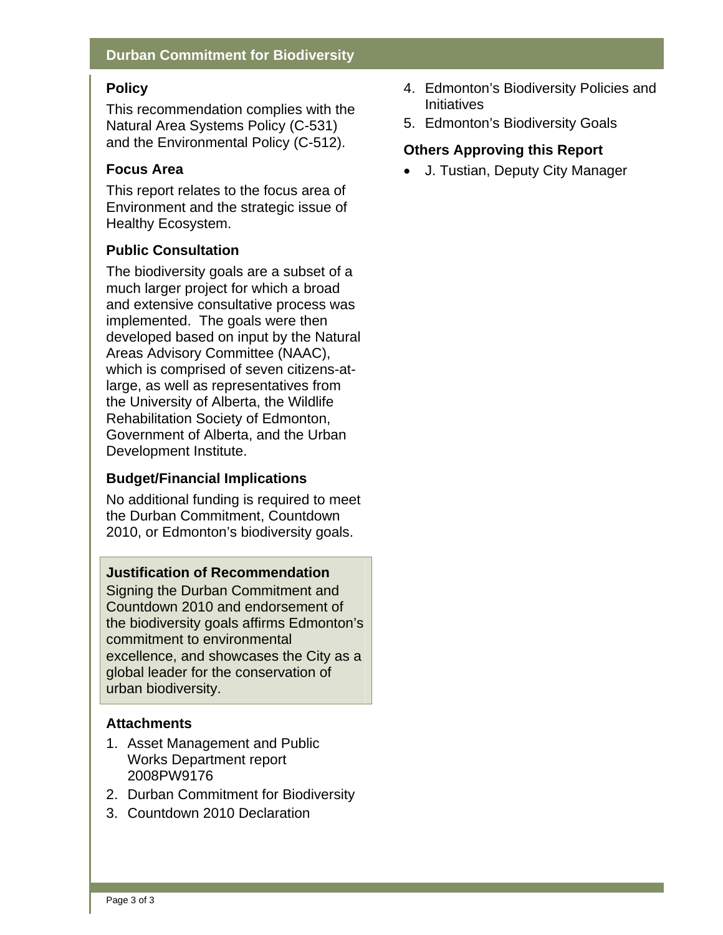# **Policy**

This recommendation complies with the Natural Area Systems Policy (C-531) and the Environmental Policy (C-512).

### **Focus Area**

This report relates to the focus area of Environment and the strategic issue of Healthy Ecosystem.

# **Public Consultation**

The biodiversity goals are a subset of a much larger project for which a broad and extensive consultative process was implemented. The goals were then developed based on input by the Natural Areas Advisory Committee (NAAC), which is comprised of seven citizens-atlarge, as well as representatives from the University of Alberta, the Wildlife Rehabilitation Society of Edmonton, Government of Alberta, and the Urban Development Institute.

### **Budget/Financial Implications**

No additional funding is required to meet the Durban Commitment, Countdown 2010, or Edmonton's biodiversity goals.

### **Justification of Recommendation**

Signing the Durban Commitment and Countdown 2010 and endorsement of the biodiversity goals affirms Edmonton's commitment to environmental excellence, and showcases the City as a global leader for the conservation of urban biodiversity.

### **Attachments**

- 1. Asset Management and Public Works Department report 2008PW9176
- 2. Durban Commitment for Biodiversity
- 3. Countdown 2010 Declaration
- 4. Edmonton's Biodiversity Policies and Initiatives
- 5. Edmonton's Biodiversity Goals

# **Others Approving this Report**

• J. Tustian, Deputy City Manager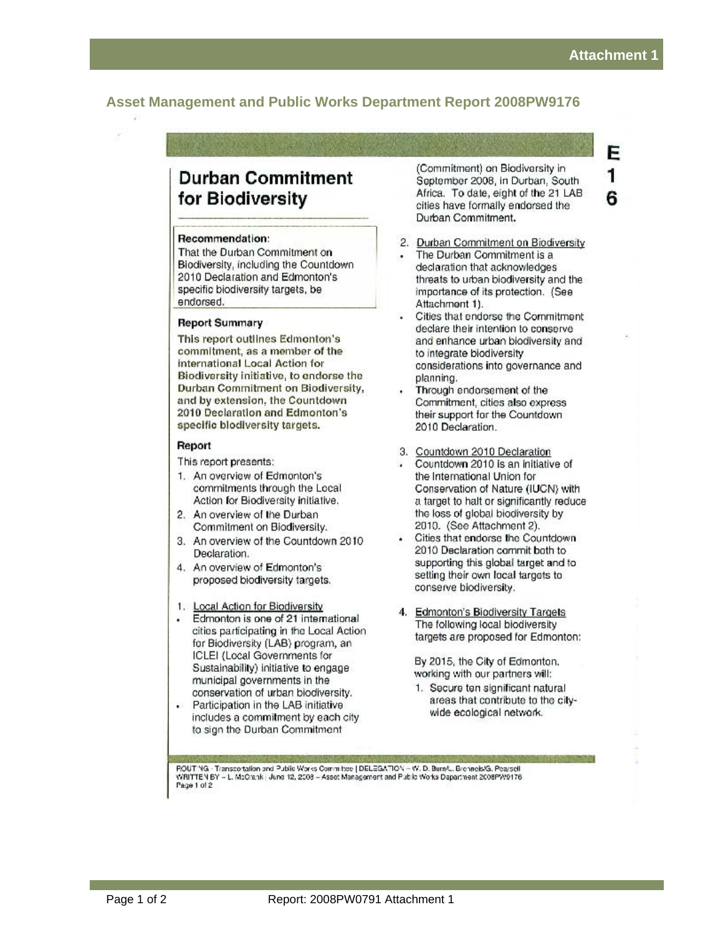F

1

6

### **Asset Management and Public Works Department Report 2008PW9176**

# **Durban Commitment** for Biodiversity

#### Recommendation:

That the Durban Commitment on Biodiversity, including the Countdown 2010 Declaration and Edmonton's specific biodiversity targets, be endorsed.

#### **Report Summary**

This report outlines Edmonton's commitment, as a member of the international Local Action for Biodiversity initiative, to endorse the Durban Commitment on Biodiversity, and by extension, the Countdown 2010 Declaration and Edmonton's specific blodiversity targets.

#### Report

This report presents:

- 1. An overview of Edmonton's commitments through the Local Action for Biodiversity initiative.
- 2. An overview of the Durban Commitment on Biodiversity.
- 3. An overview of the Countdown 2010 Declaration.
- 4. An overview of Edmonton's proposed biodiversity targets.
- 1. Local Action for Biodiversity
- Edmonton is one of 21 international cities participating in the Local Action for Biodiversity (LAB) program, an ICLEI (Local Governments for Sustainability) initiative to engage municipal governments in the conservation of urban biodiversity.
- Participation in the LAB initiative includes a commitment by each city to sign the Durban Commitment

(Commitment) on Biodiversity in September 2008, in Durban. South Africa. To date, eight of the 21 LAB cities have formally endorsed the Durban Commitment.

- 2. Durban Commitment on Biodiversity
- The Durban Commitment is a declaration that acknowledges threats to urban biodiversity and the importance of its protection. (See Attachment 1).
- Cities that endorse the Commitment declare their intention to conserve and enhance urban biodiversity and to integrate biodiversity considerations into governance and planning.
- Through endorsement of the Commitment, cities also express their support for the Countdown 2010 Declaration.
- 3. Countdown 2010 Declaration
- Countdown 2010 is an initiative of the International Union for Conservation of Nature (IUCN) with a target to halt or significantly reduce the loss of global biodiversity by 2010. (See Attachment 2).
- Cities that endorse the Countdown 2010 Declaration commit both to supporting this global target and to setting their own local targets to conserve biodiversity.
- 4. Edmonton's Biodiversity Targets The following local biodiversity targets are proposed for Edmonton:

By 2015, the City of Edmonton. working with our partners will:

1. Secure ten significant natural areas that contribute to the citywide ecological network.

**STATISTICS** 

ROUT NG - Transportation and Public Works Committee | DELEGATION - W. D. BurnA., Bronnels/G. Pearsell<br>WRITTEN BY - L. McCrank | June 12, 2008 - Asset Management and Public Works Dapartment 2008PW9176 Page 1 of 2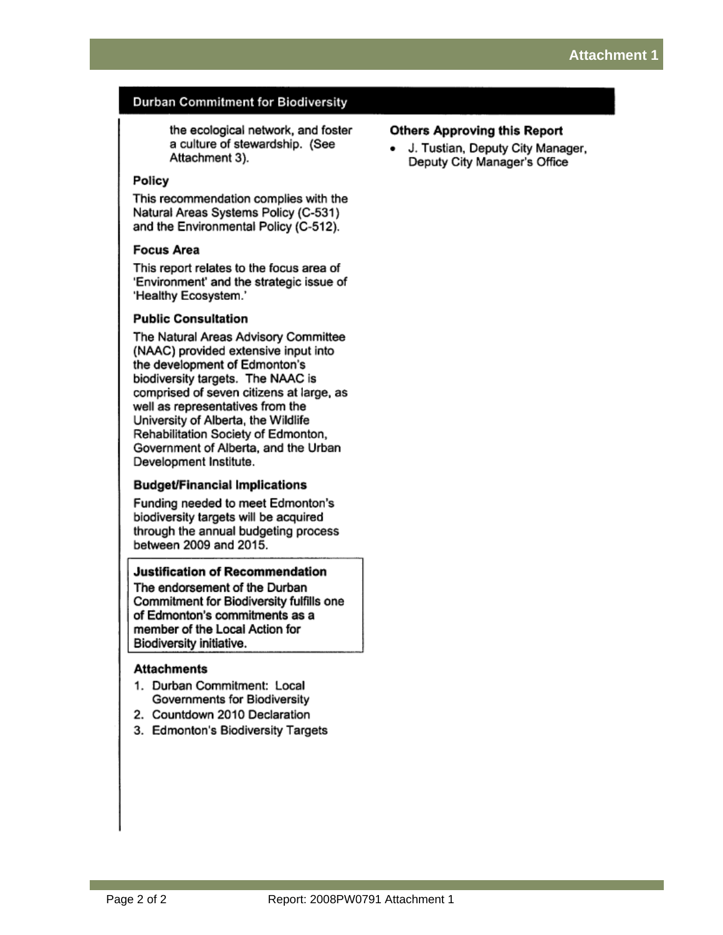#### **Durban Commitment for Biodiversity**

the ecological network, and foster a culture of stewardship. (See Attachment 3).

#### Policy

This recommendation complies with the Natural Areas Systems Policy (C-531) and the Environmental Policy (C-512).

#### **Focus Area**

This report relates to the focus area of 'Environment' and the strategic issue of 'Healthy Ecosystem.'

#### **Public Consultation**

The Natural Areas Advisory Committee (NAAC) provided extensive input into the development of Edmonton's biodiversity targets. The NAAC is comprised of seven citizens at large, as well as representatives from the University of Alberta, the Wildlife Rehabilitation Society of Edmonton, Government of Alberta, and the Urban Development Institute.

#### **Budget/Financial Implications**

Funding needed to meet Edmonton's biodiversity targets will be acquired through the annual budgeting process between 2009 and 2015.

#### **Justification of Recommendation**

The endorsement of the Durban Commitment for Biodiversity fulfills one of Edmonton's commitments as a member of the Local Action for Biodiversity initiative.

#### **Attachments**

- 1. Durban Commitment: Local Governments for Biodiversity
- 2. Countdown 2010 Declaration
- 3. Edmonton's Biodiversity Targets

#### **Others Approving this Report**

J. Tustian, Deputy City Manager, ٠ Deputy City Manager's Office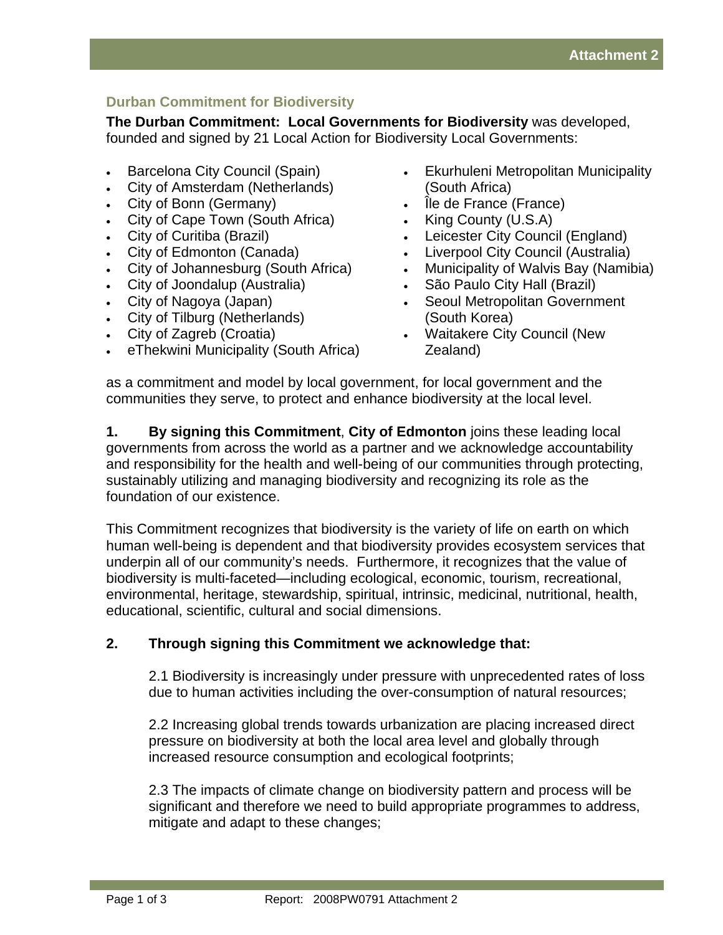### **Durban Commitment for Biodiversity**

**The Durban Commitment: Local Governments for Biodiversity** was developed, founded and signed by 21 Local Action for Biodiversity Local Governments:

- Barcelona City Council (Spain)
- City of Amsterdam (Netherlands)
- City of Bonn (Germany)
- City of Cape Town (South Africa)
- City of Curitiba (Brazil)
- City of Edmonton (Canada)
- City of Johannesburg (South Africa)
- City of Joondalup (Australia)
- City of Nagoya (Japan)
- City of Tilburg (Netherlands)
- City of Zagreb (Croatia)
- eThekwini Municipality (South Africa)
- Ekurhuleni Metropolitan Municipality (South Africa)
- Île de France (France)
- King County (U.S.A)
- Leicester City Council (England)
- Liverpool City Council (Australia)
- Municipality of Walvis Bay (Namibia)
- São Paulo City Hall (Brazil)
- Seoul Metropolitan Government (South Korea)
- Waitakere City Council (New Zealand)

as a commitment and model by local government, for local government and the communities they serve, to protect and enhance biodiversity at the local level.

**1. By signing this Commitment**, **City of Edmonton** joins these leading local governments from across the world as a partner and we acknowledge accountability and responsibility for the health and well-being of our communities through protecting, sustainably utilizing and managing biodiversity and recognizing its role as the foundation of our existence.

This Commitment recognizes that biodiversity is the variety of life on earth on which human well-being is dependent and that biodiversity provides ecosystem services that underpin all of our community's needs. Furthermore, it recognizes that the value of biodiversity is multi-faceted—including ecological, economic, tourism, recreational, environmental, heritage, stewardship, spiritual, intrinsic, medicinal, nutritional, health, educational, scientific, cultural and social dimensions.

### **2. Through signing this Commitment we acknowledge that:**

2.1 Biodiversity is increasingly under pressure with unprecedented rates of loss due to human activities including the over-consumption of natural resources;

2.2 Increasing global trends towards urbanization are placing increased direct pressure on biodiversity at both the local area level and globally through increased resource consumption and ecological footprints;

2.3 The impacts of climate change on biodiversity pattern and process will be significant and therefore we need to build appropriate programmes to address, mitigate and adapt to these changes;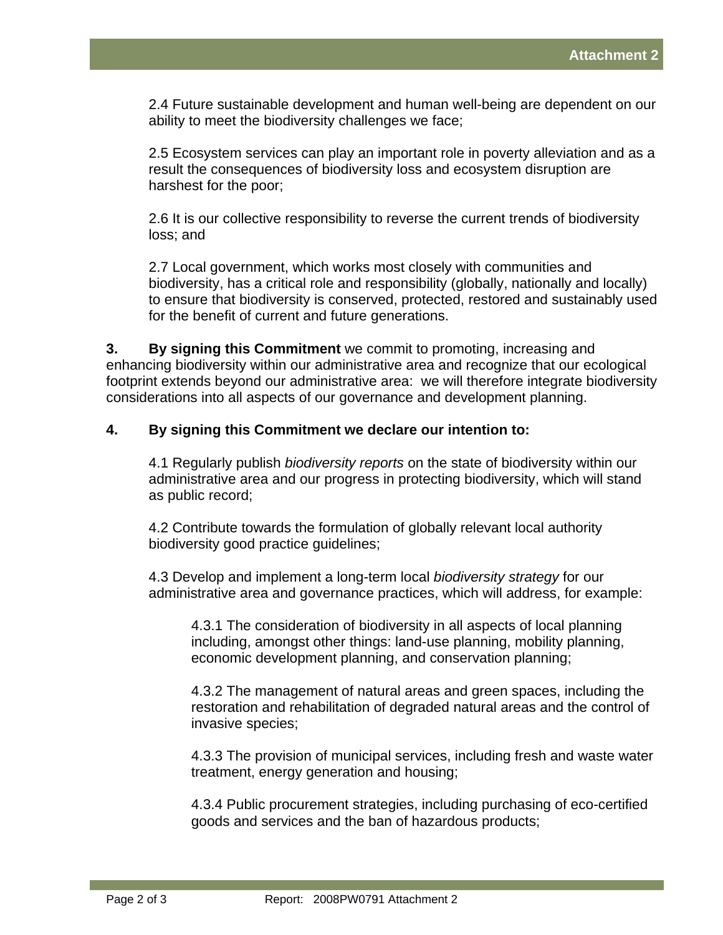2.4 Future sustainable development and human well-being are dependent on our ability to meet the biodiversity challenges we face;

2.5 Ecosystem services can play an important role in poverty alleviation and as a result the consequences of biodiversity loss and ecosystem disruption are harshest for the poor;

2.6 It is our collective responsibility to reverse the current trends of biodiversity loss; and

2.7 Local government, which works most closely with communities and biodiversity, has a critical role and responsibility (globally, nationally and locally) to ensure that biodiversity is conserved, protected, restored and sustainably used for the benefit of current and future generations.

**3. By signing this Commitment** we commit to promoting, increasing and enhancing biodiversity within our administrative area and recognize that our ecological footprint extends beyond our administrative area: we will therefore integrate biodiversity considerations into all aspects of our governance and development planning.

### **4. By signing this Commitment we declare our intention to:**

4.1 Regularly publish *biodiversity reports* on the state of biodiversity within our administrative area and our progress in protecting biodiversity, which will stand as public record;

4.2 Contribute towards the formulation of globally relevant local authority biodiversity good practice guidelines;

4.3 Develop and implement a long-term local *biodiversity strategy* for our administrative area and governance practices, which will address, for example:

4.3.1 The consideration of biodiversity in all aspects of local planning including, amongst other things: land-use planning, mobility planning, economic development planning, and conservation planning;

4.3.2 The management of natural areas and green spaces, including the restoration and rehabilitation of degraded natural areas and the control of invasive species;

4.3.3 The provision of municipal services, including fresh and waste water treatment, energy generation and housing;

4.3.4 Public procurement strategies, including purchasing of eco-certified goods and services and the ban of hazardous products;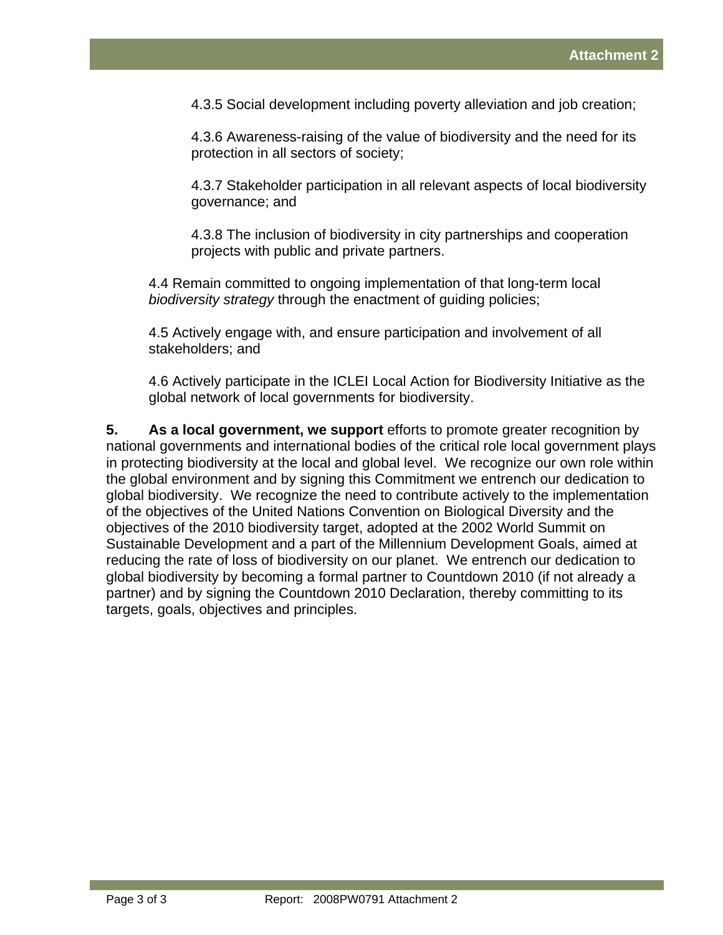4.3.5 Social development including poverty alleviation and job creation;

4.3.6 Awareness-raising of the value of biodiversity and the need for its protection in all sectors of society;

4.3.7 Stakeholder participation in all relevant aspects of local biodiversity governance; and

4.3.8 The inclusion of biodiversity in city partnerships and cooperation projects with public and private partners.

4.4 Remain committed to ongoing implementation of that long-term local *biodiversity strategy* through the enactment of guiding policies;

4.5 Actively engage with, and ensure participation and involvement of all stakeholders; and

4.6 Actively participate in the ICLEI Local Action for Biodiversity Initiative as the global network of local governments for biodiversity.

**5. As a local government, we support** efforts to promote greater recognition by national governments and international bodies of the critical role local government plays in protecting biodiversity at the local and global level. We recognize our own role within the global environment and by signing this Commitment we entrench our dedication to global biodiversity. We recognize the need to contribute actively to the implementation of the objectives of the United Nations Convention on Biological Diversity and the objectives of the 2010 biodiversity target, adopted at the 2002 World Summit on Sustainable Development and a part of the Millennium Development Goals, aimed at reducing the rate of loss of biodiversity on our planet. We entrench our dedication to global biodiversity by becoming a formal partner to Countdown 2010 (if not already a partner) and by signing the Countdown 2010 Declaration, thereby committing to its targets, goals, objectives and principles.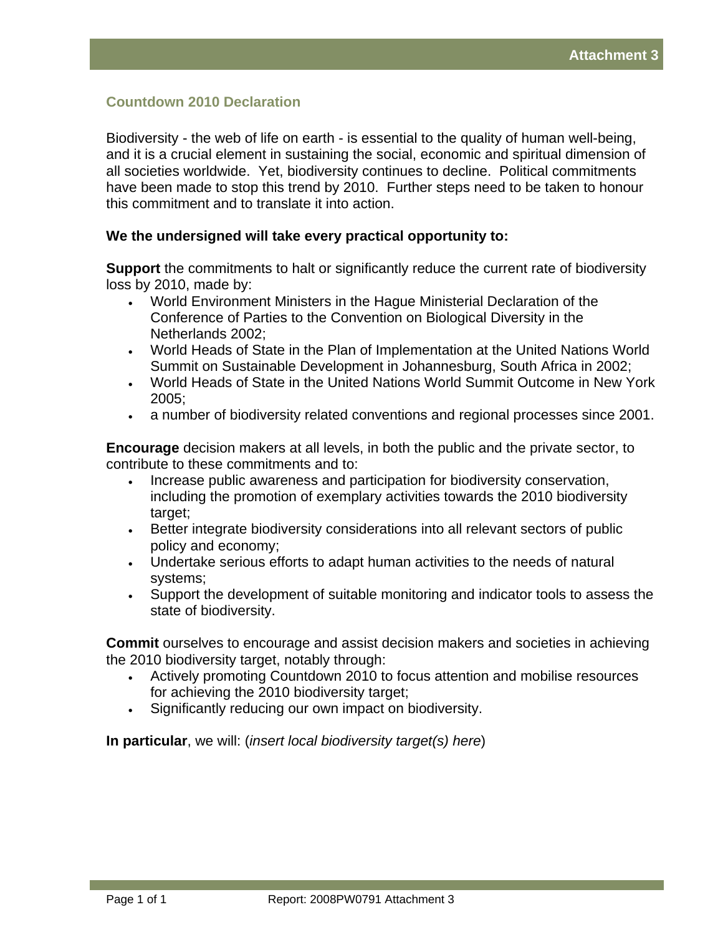#### **Countdown 2010 Declaration**

Biodiversity - the web of life on earth - is essential to the quality of human well-being, and it is a crucial element in sustaining the social, economic and spiritual dimension of all societies worldwide. Yet, biodiversity continues to decline. Political commitments have been made to stop this trend by 2010. Further steps need to be taken to honour this commitment and to translate it into action.

#### **We the undersigned will take every practical opportunity to:**

**Support** the commitments to halt or significantly reduce the current rate of biodiversity loss by 2010, made by:

- World Environment Ministers in the Hague Ministerial Declaration of the Conference of Parties to the Convention on Biological Diversity in the Netherlands 2002;
- World Heads of State in the Plan of Implementation at the United Nations World Summit on Sustainable Development in Johannesburg, South Africa in 2002;
- World Heads of State in the United Nations World Summit Outcome in New York 2005;
- a number of biodiversity related conventions and regional processes since 2001.

**Encourage** decision makers at all levels, in both the public and the private sector, to contribute to these commitments and to:

- Increase public awareness and participation for biodiversity conservation, including the promotion of exemplary activities towards the 2010 biodiversity target;
- Better integrate biodiversity considerations into all relevant sectors of public policy and economy;
- Undertake serious efforts to adapt human activities to the needs of natural systems;
- Support the development of suitable monitoring and indicator tools to assess the state of biodiversity.

**Commit** ourselves to encourage and assist decision makers and societies in achieving the 2010 biodiversity target, notably through:

- Actively promoting Countdown 2010 to focus attention and mobilise resources for achieving the 2010 biodiversity target;
- Significantly reducing our own impact on biodiversity.

**In particular**, we will: (*insert local biodiversity target(s) here*)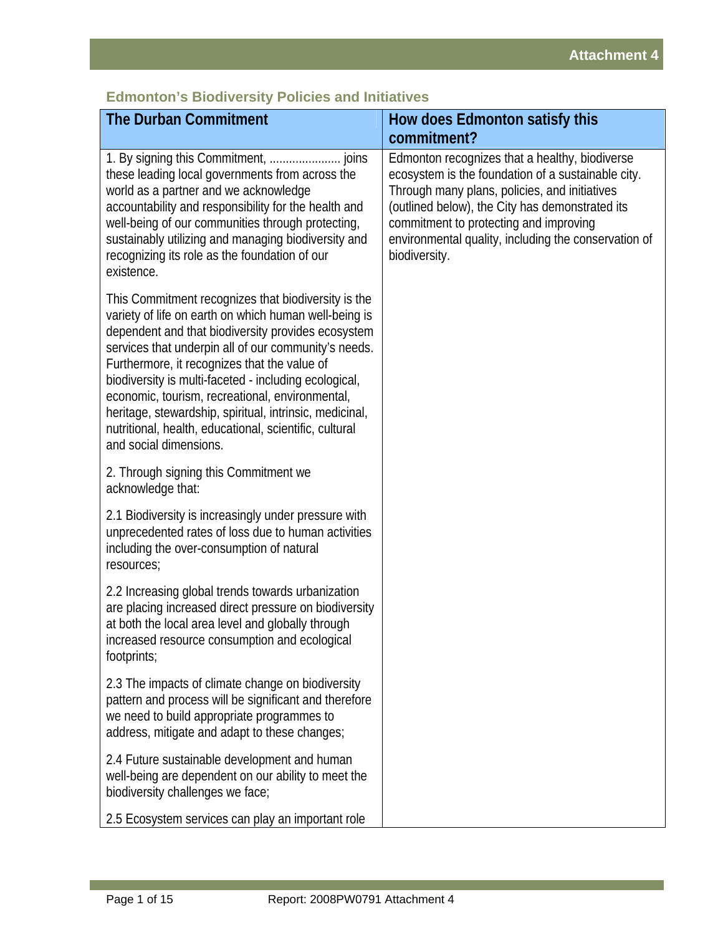| The Durban Commitment                                                                                                                                                                                                                                                                                                                                                                                                                                                                                                                 | How does Edmonton satisfy this<br>commitment?                                                                                                                                                                                                                                                                               |
|---------------------------------------------------------------------------------------------------------------------------------------------------------------------------------------------------------------------------------------------------------------------------------------------------------------------------------------------------------------------------------------------------------------------------------------------------------------------------------------------------------------------------------------|-----------------------------------------------------------------------------------------------------------------------------------------------------------------------------------------------------------------------------------------------------------------------------------------------------------------------------|
| these leading local governments from across the<br>world as a partner and we acknowledge<br>accountability and responsibility for the health and<br>well-being of our communities through protecting,<br>sustainably utilizing and managing biodiversity and<br>recognizing its role as the foundation of our<br>existence.                                                                                                                                                                                                           | Edmonton recognizes that a healthy, biodiverse<br>ecosystem is the foundation of a sustainable city.<br>Through many plans, policies, and initiatives<br>(outlined below), the City has demonstrated its<br>commitment to protecting and improving<br>environmental quality, including the conservation of<br>biodiversity. |
| This Commitment recognizes that biodiversity is the<br>variety of life on earth on which human well-being is<br>dependent and that biodiversity provides ecosystem<br>services that underpin all of our community's needs.<br>Furthermore, it recognizes that the value of<br>biodiversity is multi-faceted - including ecological,<br>economic, tourism, recreational, environmental,<br>heritage, stewardship, spiritual, intrinsic, medicinal,<br>nutritional, health, educational, scientific, cultural<br>and social dimensions. |                                                                                                                                                                                                                                                                                                                             |
| 2. Through signing this Commitment we<br>acknowledge that:                                                                                                                                                                                                                                                                                                                                                                                                                                                                            |                                                                                                                                                                                                                                                                                                                             |
| 2.1 Biodiversity is increasingly under pressure with<br>unprecedented rates of loss due to human activities<br>including the over-consumption of natural<br>resources;                                                                                                                                                                                                                                                                                                                                                                |                                                                                                                                                                                                                                                                                                                             |
| 2.2 Increasing global trends towards urbanization<br>are placing increased direct pressure on biodiversity<br>at both the local area level and globally through<br>increased resource consumption and ecological<br>footprints;                                                                                                                                                                                                                                                                                                       |                                                                                                                                                                                                                                                                                                                             |
| 2.3 The impacts of climate change on biodiversity<br>pattern and process will be significant and therefore<br>we need to build appropriate programmes to<br>address, mitigate and adapt to these changes;                                                                                                                                                                                                                                                                                                                             |                                                                                                                                                                                                                                                                                                                             |
| 2.4 Future sustainable development and human<br>well-being are dependent on our ability to meet the<br>biodiversity challenges we face;                                                                                                                                                                                                                                                                                                                                                                                               |                                                                                                                                                                                                                                                                                                                             |
| 2.5 Ecosystem services can play an important role                                                                                                                                                                                                                                                                                                                                                                                                                                                                                     |                                                                                                                                                                                                                                                                                                                             |

# **Edmonton's Biodiversity Policies and Initiatives**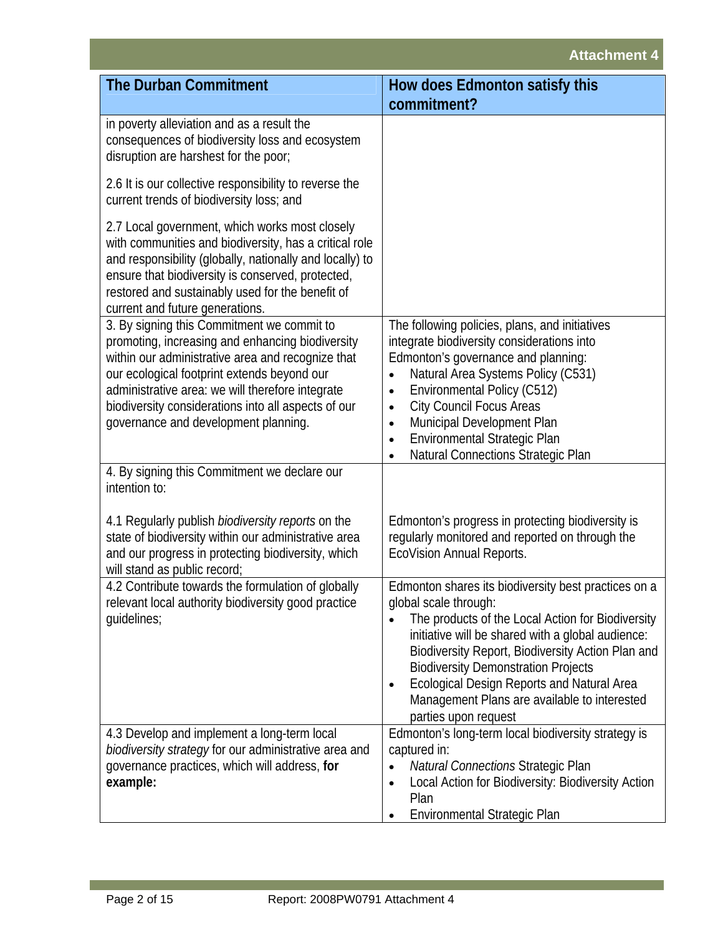# **Attachment 4**

| The Durban Commitment                                                                                                                                                                                                                                                                                                                                 | How does Edmonton satisfy this                                                                                                                                                                                                                                                                                                                                                                                                |
|-------------------------------------------------------------------------------------------------------------------------------------------------------------------------------------------------------------------------------------------------------------------------------------------------------------------------------------------------------|-------------------------------------------------------------------------------------------------------------------------------------------------------------------------------------------------------------------------------------------------------------------------------------------------------------------------------------------------------------------------------------------------------------------------------|
|                                                                                                                                                                                                                                                                                                                                                       | commitment?                                                                                                                                                                                                                                                                                                                                                                                                                   |
| in poverty alleviation and as a result the<br>consequences of biodiversity loss and ecosystem<br>disruption are harshest for the poor;                                                                                                                                                                                                                |                                                                                                                                                                                                                                                                                                                                                                                                                               |
| 2.6 It is our collective responsibility to reverse the<br>current trends of biodiversity loss; and                                                                                                                                                                                                                                                    |                                                                                                                                                                                                                                                                                                                                                                                                                               |
| 2.7 Local government, which works most closely<br>with communities and biodiversity, has a critical role<br>and responsibility (globally, nationally and locally) to<br>ensure that biodiversity is conserved, protected,<br>restored and sustainably used for the benefit of<br>current and future generations.                                      |                                                                                                                                                                                                                                                                                                                                                                                                                               |
| 3. By signing this Commitment we commit to<br>promoting, increasing and enhancing biodiversity<br>within our administrative area and recognize that<br>our ecological footprint extends beyond our<br>administrative area: we will therefore integrate<br>biodiversity considerations into all aspects of our<br>governance and development planning. | The following policies, plans, and initiatives<br>integrate biodiversity considerations into<br>Edmonton's governance and planning:<br>Natural Area Systems Policy (C531)<br>Environmental Policy (C512)<br>$\bullet$<br><b>City Council Focus Areas</b><br>$\bullet$<br>Municipal Development Plan<br>$\bullet$<br>Environmental Strategic Plan<br>$\bullet$<br>Natural Connections Strategic Plan                           |
| 4. By signing this Commitment we declare our<br>intention to:                                                                                                                                                                                                                                                                                         |                                                                                                                                                                                                                                                                                                                                                                                                                               |
| 4.1 Regularly publish <i>biodiversity reports</i> on the<br>state of biodiversity within our administrative area<br>and our progress in protecting biodiversity, which<br>will stand as public record;                                                                                                                                                | Edmonton's progress in protecting biodiversity is<br>regularly monitored and reported on through the<br>EcoVision Annual Reports.                                                                                                                                                                                                                                                                                             |
| 4.2 Contribute towards the formulation of globally<br>relevant local authority biodiversity good practice<br>guidelines;                                                                                                                                                                                                                              | Edmonton shares its biodiversity best practices on a<br>global scale through:<br>The products of the Local Action for Biodiversity<br>initiative will be shared with a global audience:<br>Biodiversity Report, Biodiversity Action Plan and<br><b>Biodiversity Demonstration Projects</b><br>Ecological Design Reports and Natural Area<br>$\bullet$<br>Management Plans are available to interested<br>parties upon request |
| 4.3 Develop and implement a long-term local<br>biodiversity strategy for our administrative area and<br>governance practices, which will address, for<br>example:                                                                                                                                                                                     | Edmonton's long-term local biodiversity strategy is<br>captured in:<br><b>Natural Connections Strategic Plan</b><br>Local Action for Biodiversity: Biodiversity Action<br>$\bullet$<br>Plan<br><b>Environmental Strategic Plan</b>                                                                                                                                                                                            |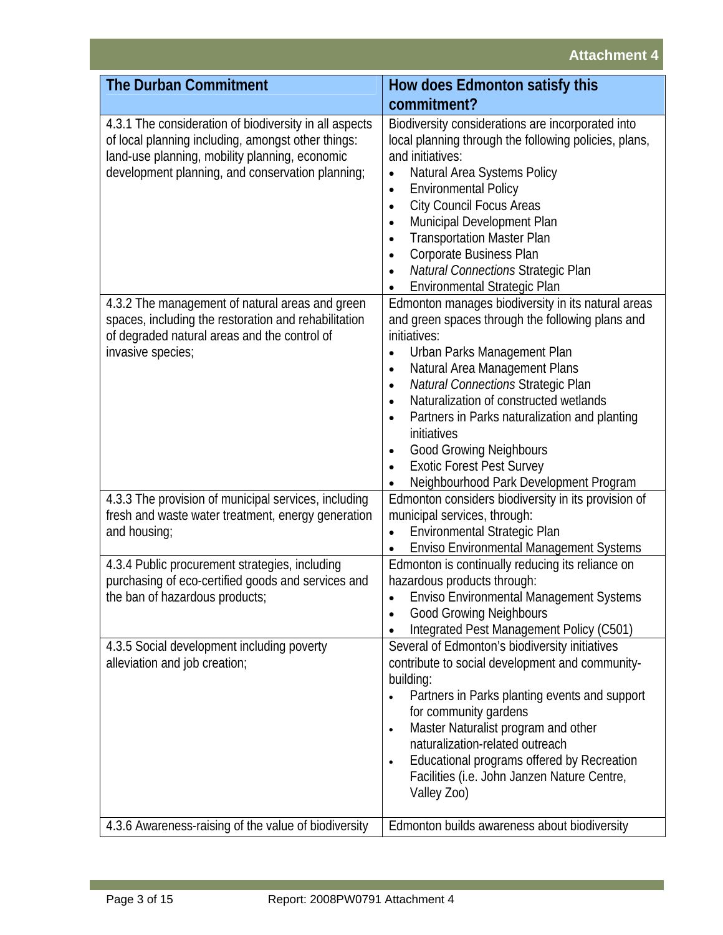| <b>The Durban Commitment</b>                                                                                                                                                                                       | How does Edmonton satisfy this                                                                                                                                                                                                                                                                                                                                                                                                                                                                                                       |
|--------------------------------------------------------------------------------------------------------------------------------------------------------------------------------------------------------------------|--------------------------------------------------------------------------------------------------------------------------------------------------------------------------------------------------------------------------------------------------------------------------------------------------------------------------------------------------------------------------------------------------------------------------------------------------------------------------------------------------------------------------------------|
|                                                                                                                                                                                                                    | commitment?                                                                                                                                                                                                                                                                                                                                                                                                                                                                                                                          |
| 4.3.1 The consideration of biodiversity in all aspects<br>of local planning including, amongst other things:<br>land-use planning, mobility planning, economic<br>development planning, and conservation planning; | Biodiversity considerations are incorporated into<br>local planning through the following policies, plans,<br>and initiatives:<br>Natural Area Systems Policy<br>$\bullet$<br><b>Environmental Policy</b><br>$\bullet$<br><b>City Council Focus Areas</b><br>$\bullet$<br>Municipal Development Plan<br>$\bullet$<br><b>Transportation Master Plan</b><br>$\bullet$<br>Corporate Business Plan<br>$\bullet$<br><b>Natural Connections Strategic Plan</b><br>$\bullet$<br>Environmental Strategic Plan<br>$\bullet$                   |
| 4.3.2 The management of natural areas and green<br>spaces, including the restoration and rehabilitation<br>of degraded natural areas and the control of<br>invasive species;                                       | Edmonton manages biodiversity in its natural areas<br>and green spaces through the following plans and<br>initiatives:<br>Urban Parks Management Plan<br>$\bullet$<br>Natural Area Management Plans<br>$\bullet$<br>Natural Connections Strategic Plan<br>$\bullet$<br>Naturalization of constructed wetlands<br>$\bullet$<br>Partners in Parks naturalization and planting<br>initiatives<br><b>Good Growing Neighbours</b><br>$\bullet$<br><b>Exotic Forest Pest Survey</b><br>$\bullet$<br>Neighbourhood Park Development Program |
| 4.3.3 The provision of municipal services, including<br>fresh and waste water treatment, energy generation<br>and housing;                                                                                         | Edmonton considers biodiversity in its provision of<br>municipal services, through:<br>Environmental Strategic Plan<br>$\bullet$<br>Enviso Environmental Management Systems                                                                                                                                                                                                                                                                                                                                                          |
| 4.3.4 Public procurement strategies, including<br>purchasing of eco-certified goods and services and<br>the ban of hazardous products;                                                                             | Edmonton is continually reducing its reliance on<br>hazardous products through:<br>Enviso Environmental Management Systems<br>$\bullet$<br><b>Good Growing Neighbours</b><br>$\bullet$<br>Integrated Pest Management Policy (C501)                                                                                                                                                                                                                                                                                                   |
| 4.3.5 Social development including poverty<br>alleviation and job creation;                                                                                                                                        | Several of Edmonton's biodiversity initiatives<br>contribute to social development and community-<br>building:<br>Partners in Parks planting events and support<br>for community gardens<br>Master Naturalist program and other<br>$\bullet$<br>naturalization-related outreach<br>Educational programs offered by Recreation<br>$\bullet$<br>Facilities (i.e. John Janzen Nature Centre,<br>Valley Zoo)                                                                                                                             |
| 4.3.6 Awareness-raising of the value of biodiversity                                                                                                                                                               | Edmonton builds awareness about biodiversity                                                                                                                                                                                                                                                                                                                                                                                                                                                                                         |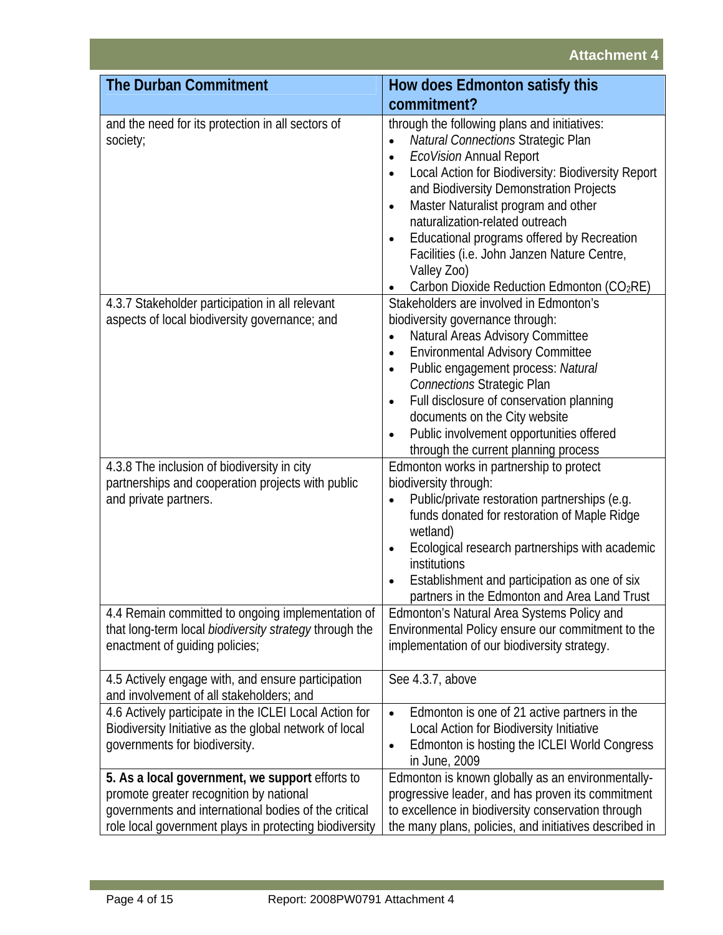| The Durban Commitment                                                                                                                                                                                        | How does Edmonton satisfy this                                                                                                                                                                                                                                                                                                                                                                                                                                                                               |
|--------------------------------------------------------------------------------------------------------------------------------------------------------------------------------------------------------------|--------------------------------------------------------------------------------------------------------------------------------------------------------------------------------------------------------------------------------------------------------------------------------------------------------------------------------------------------------------------------------------------------------------------------------------------------------------------------------------------------------------|
|                                                                                                                                                                                                              | commitment?                                                                                                                                                                                                                                                                                                                                                                                                                                                                                                  |
| and the need for its protection in all sectors of<br>society;                                                                                                                                                | through the following plans and initiatives:<br><b>Natural Connections Strategic Plan</b><br>EcoVision Annual Report<br>$\bullet$<br>Local Action for Biodiversity: Biodiversity Report<br>$\bullet$<br>and Biodiversity Demonstration Projects<br>Master Naturalist program and other<br>$\bullet$<br>naturalization-related outreach<br>Educational programs offered by Recreation<br>Facilities (i.e. John Janzen Nature Centre,<br>Valley Zoo)<br>Carbon Dioxide Reduction Edmonton (CO <sub>2</sub> RE) |
| 4.3.7 Stakeholder participation in all relevant<br>aspects of local biodiversity governance; and                                                                                                             | Stakeholders are involved in Edmonton's<br>biodiversity governance through:<br>Natural Areas Advisory Committee<br><b>Environmental Advisory Committee</b><br>Public engagement process: Natural<br>Connections Strategic Plan<br>Full disclosure of conservation planning<br>documents on the City website<br>Public involvement opportunities offered<br>through the current planning process                                                                                                              |
| 4.3.8 The inclusion of biodiversity in city<br>partnerships and cooperation projects with public<br>and private partners.                                                                                    | Edmonton works in partnership to protect<br>biodiversity through:<br>Public/private restoration partnerships (e.g.<br>funds donated for restoration of Maple Ridge<br>wetland)<br>Ecological research partnerships with academic<br>$\bullet$<br>institutions<br>Establishment and participation as one of six<br>partners in the Edmonton and Area Land Trust                                                                                                                                               |
| 4.4 Remain committed to ongoing implementation of<br>that long-term local biodiversity strategy through the<br>enactment of guiding policies;                                                                | Edmonton's Natural Area Systems Policy and<br>Environmental Policy ensure our commitment to the<br>implementation of our biodiversity strategy.                                                                                                                                                                                                                                                                                                                                                              |
| 4.5 Actively engage with, and ensure participation<br>and involvement of all stakeholders; and                                                                                                               | See 4.3.7, above                                                                                                                                                                                                                                                                                                                                                                                                                                                                                             |
| 4.6 Actively participate in the ICLEI Local Action for<br>Biodiversity Initiative as the global network of local<br>governments for biodiversity.                                                            | Edmonton is one of 21 active partners in the<br>$\bullet$<br>Local Action for Biodiversity Initiative<br>Edmonton is hosting the ICLEI World Congress<br>$\bullet$<br>in June, 2009                                                                                                                                                                                                                                                                                                                          |
| 5. As a local government, we support efforts to<br>promote greater recognition by national<br>governments and international bodies of the critical<br>role local government plays in protecting biodiversity | Edmonton is known globally as an environmentally-<br>progressive leader, and has proven its commitment<br>to excellence in biodiversity conservation through<br>the many plans, policies, and initiatives described in                                                                                                                                                                                                                                                                                       |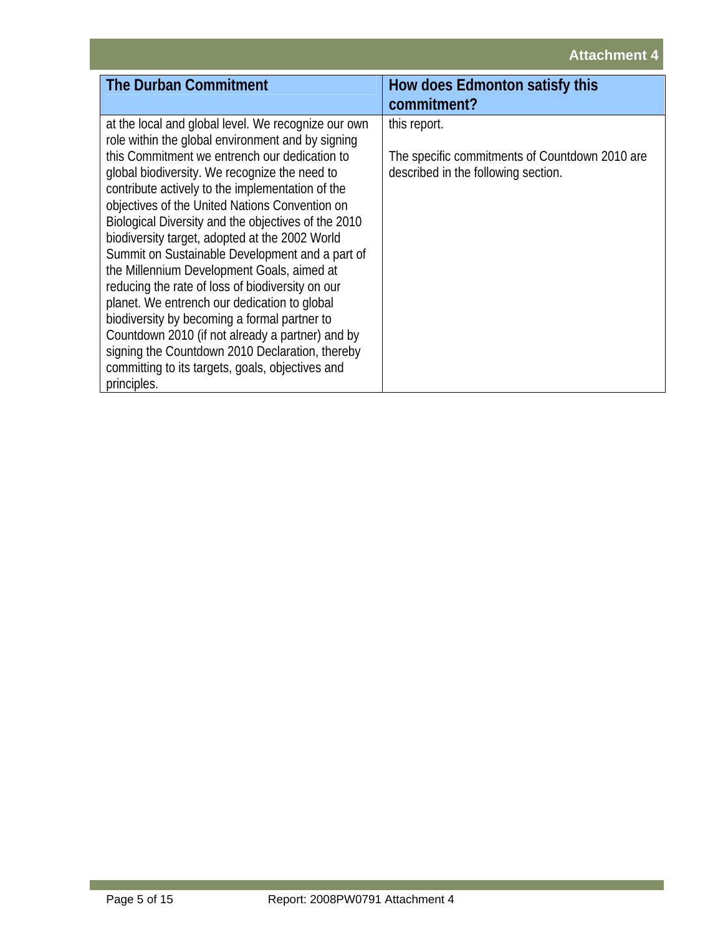| <b>The Durban Commitment</b>                                                                       | How does Edmonton satisfy this                                                        |
|----------------------------------------------------------------------------------------------------|---------------------------------------------------------------------------------------|
|                                                                                                    | commitment?                                                                           |
| at the local and global level. We recognize our own                                                | this report.                                                                          |
| role within the global environment and by signing<br>this Commitment we entrench our dedication to |                                                                                       |
| global biodiversity. We recognize the need to                                                      | The specific commitments of Countdown 2010 are<br>described in the following section. |
| contribute actively to the implementation of the                                                   |                                                                                       |
| objectives of the United Nations Convention on                                                     |                                                                                       |
| Biological Diversity and the objectives of the 2010                                                |                                                                                       |
| biodiversity target, adopted at the 2002 World                                                     |                                                                                       |
| Summit on Sustainable Development and a part of                                                    |                                                                                       |
| the Millennium Development Goals, aimed at                                                         |                                                                                       |
| reducing the rate of loss of biodiversity on our                                                   |                                                                                       |
| planet. We entrench our dedication to global<br>biodiversity by becoming a formal partner to       |                                                                                       |
| Countdown 2010 (if not already a partner) and by                                                   |                                                                                       |
| signing the Countdown 2010 Declaration, thereby                                                    |                                                                                       |
| committing to its targets, goals, objectives and                                                   |                                                                                       |
| principles.                                                                                        |                                                                                       |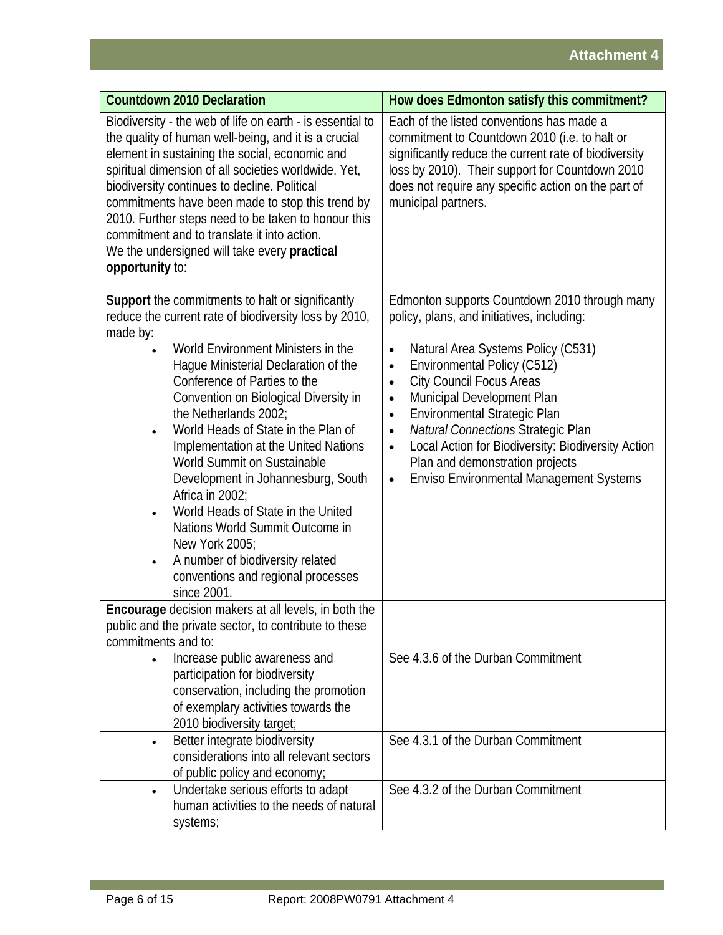| <b>Countdown 2010 Declaration</b>                                                                                                                                                                                                                                                                                                                                                                                                                                                                                                                                              | How does Edmonton satisfy this commitment?                                                                                                                                                                                                                                                                                                                                                                                                                         |
|--------------------------------------------------------------------------------------------------------------------------------------------------------------------------------------------------------------------------------------------------------------------------------------------------------------------------------------------------------------------------------------------------------------------------------------------------------------------------------------------------------------------------------------------------------------------------------|--------------------------------------------------------------------------------------------------------------------------------------------------------------------------------------------------------------------------------------------------------------------------------------------------------------------------------------------------------------------------------------------------------------------------------------------------------------------|
| Biodiversity - the web of life on earth - is essential to<br>the quality of human well-being, and it is a crucial<br>element in sustaining the social, economic and<br>spiritual dimension of all societies worldwide. Yet,<br>biodiversity continues to decline. Political<br>commitments have been made to stop this trend by<br>2010. Further steps need to be taken to honour this<br>commitment and to translate it into action.<br>We the undersigned will take every practical<br>opportunity to:                                                                       | Each of the listed conventions has made a<br>commitment to Countdown 2010 (i.e. to halt or<br>significantly reduce the current rate of biodiversity<br>loss by 2010). Their support for Countdown 2010<br>does not require any specific action on the part of<br>municipal partners.                                                                                                                                                                               |
| Support the commitments to halt or significantly<br>reduce the current rate of biodiversity loss by 2010,<br>made by:                                                                                                                                                                                                                                                                                                                                                                                                                                                          | Edmonton supports Countdown 2010 through many<br>policy, plans, and initiatives, including:                                                                                                                                                                                                                                                                                                                                                                        |
| World Environment Ministers in the<br>Hague Ministerial Declaration of the<br>Conference of Parties to the<br>Convention on Biological Diversity in<br>the Netherlands 2002;<br>World Heads of State in the Plan of<br>$\bullet$<br>Implementation at the United Nations<br>World Summit on Sustainable<br>Development in Johannesburg, South<br>Africa in 2002;<br>World Heads of State in the United<br>$\bullet$<br>Nations World Summit Outcome in<br>New York 2005;<br>A number of biodiversity related<br>$\bullet$<br>conventions and regional processes<br>since 2001. | Natural Area Systems Policy (C531)<br>$\bullet$<br>Environmental Policy (C512)<br>$\bullet$<br><b>City Council Focus Areas</b><br>$\bullet$<br>Municipal Development Plan<br>$\bullet$<br>Environmental Strategic Plan<br>$\bullet$<br><b>Natural Connections Strategic Plan</b><br>$\bullet$<br>Local Action for Biodiversity: Biodiversity Action<br>$\bullet$<br>Plan and demonstration projects<br><b>Enviso Environmental Management Systems</b><br>$\bullet$ |
| <b>Encourage</b> decision makers at all levels, in both the<br>public and the private sector, to contribute to these<br>commitments and to:                                                                                                                                                                                                                                                                                                                                                                                                                                    |                                                                                                                                                                                                                                                                                                                                                                                                                                                                    |
| Increase public awareness and<br>$\bullet$<br>participation for biodiversity<br>conservation, including the promotion<br>of exemplary activities towards the<br>2010 biodiversity target;                                                                                                                                                                                                                                                                                                                                                                                      | See 4.3.6 of the Durban Commitment                                                                                                                                                                                                                                                                                                                                                                                                                                 |
| Better integrate biodiversity<br>$\bullet$<br>considerations into all relevant sectors<br>of public policy and economy;                                                                                                                                                                                                                                                                                                                                                                                                                                                        | See 4.3.1 of the Durban Commitment                                                                                                                                                                                                                                                                                                                                                                                                                                 |
| Undertake serious efforts to adapt<br>$\bullet$<br>human activities to the needs of natural<br>systems;                                                                                                                                                                                                                                                                                                                                                                                                                                                                        | See 4.3.2 of the Durban Commitment                                                                                                                                                                                                                                                                                                                                                                                                                                 |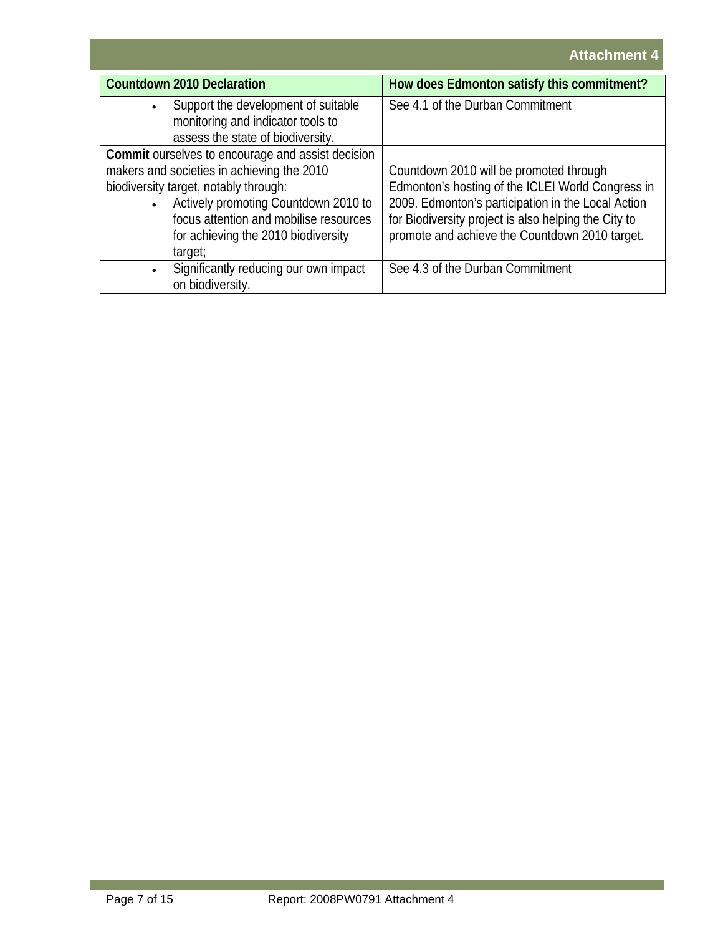**Attachment 4** 

| <b>Countdown 2010 Declaration</b>                                                                                                                                                                                                                                              | How does Edmonton satisfy this commitment?                                                                                                                                                                                                                   |
|--------------------------------------------------------------------------------------------------------------------------------------------------------------------------------------------------------------------------------------------------------------------------------|--------------------------------------------------------------------------------------------------------------------------------------------------------------------------------------------------------------------------------------------------------------|
| Support the development of suitable<br>$\bullet$<br>monitoring and indicator tools to<br>assess the state of biodiversity.                                                                                                                                                     | See 4.1 of the Durban Commitment                                                                                                                                                                                                                             |
| Commit ourselves to encourage and assist decision<br>makers and societies in achieving the 2010<br>biodiversity target, notably through:<br>• Actively promoting Countdown 2010 to<br>focus attention and mobilise resources<br>for achieving the 2010 biodiversity<br>target; | Countdown 2010 will be promoted through<br>Edmonton's hosting of the ICLEI World Congress in<br>2009. Edmonton's participation in the Local Action<br>for Biodiversity project is also helping the City to<br>promote and achieve the Countdown 2010 target. |
| Significantly reducing our own impact<br>$\bullet$<br>on biodiversity.                                                                                                                                                                                                         | See 4.3 of the Durban Commitment                                                                                                                                                                                                                             |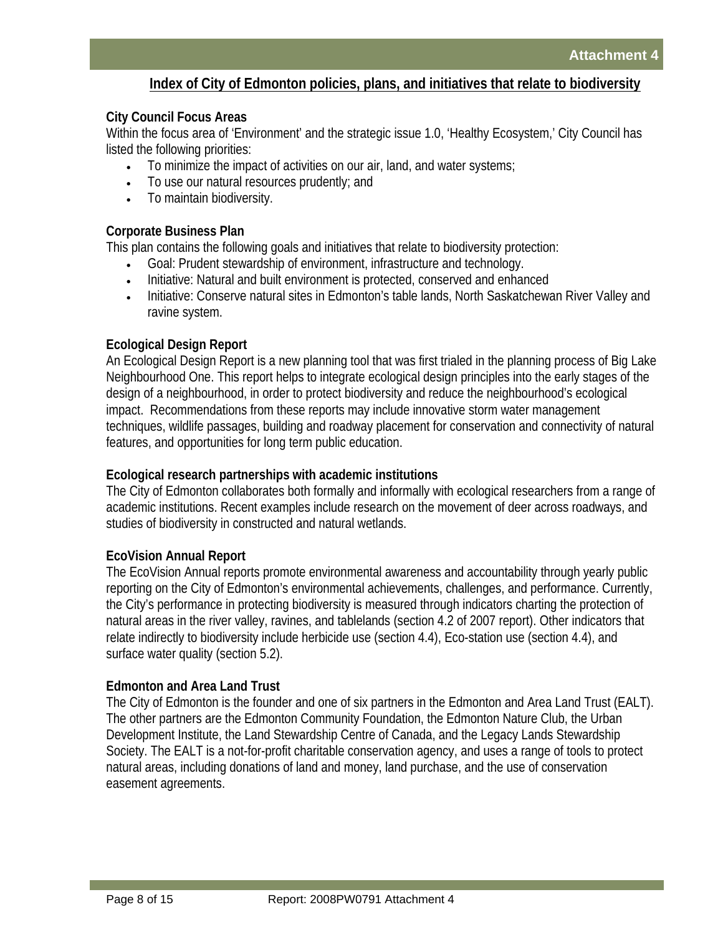### **Index of City of Edmonton policies, plans, and initiatives that relate to biodiversity**

#### **City Council Focus Areas**

Within the focus area of 'Environment' and the strategic issue 1.0, 'Healthy Ecosystem,' City Council has listed the following priorities:

- To minimize the impact of activities on our air, land, and water systems;
- To use our natural resources prudently; and
- To maintain biodiversity.

#### **Corporate Business Plan**

This plan contains the following goals and initiatives that relate to biodiversity protection:

- Goal: Prudent stewardship of environment, infrastructure and technology.
- Initiative: Natural and built environment is protected, conserved and enhanced
- Initiative: Conserve natural sites in Edmonton's table lands, North Saskatchewan River Valley and ravine system.

#### **Ecological Design Report**

An Ecological Design Report is a new planning tool that was first trialed in the planning process of Big Lake Neighbourhood One. This report helps to integrate ecological design principles into the early stages of the design of a neighbourhood, in order to protect biodiversity and reduce the neighbourhood's ecological impact. Recommendations from these reports may include innovative storm water management techniques, wildlife passages, building and roadway placement for conservation and connectivity of natural features, and opportunities for long term public education.

#### **Ecological research partnerships with academic institutions**

The City of Edmonton collaborates both formally and informally with ecological researchers from a range of academic institutions. Recent examples include research on the movement of deer across roadways, and studies of biodiversity in constructed and natural wetlands.

#### **EcoVision Annual Report**

The EcoVision Annual reports promote environmental awareness and accountability through yearly public reporting on the City of Edmonton's environmental achievements, challenges, and performance. Currently, the City's performance in protecting biodiversity is measured through indicators charting the protection of natural areas in the river valley, ravines, and tablelands (section 4.2 of 2007 report). Other indicators that relate indirectly to biodiversity include herbicide use (section 4.4), Eco-station use (section 4.4), and surface water quality (section 5.2).

#### **Edmonton and Area Land Trust**

The City of Edmonton is the founder and one of six partners in the Edmonton and Area Land Trust (EALT). The other partners are the Edmonton Community Foundation, the Edmonton Nature Club, the Urban Development Institute, the Land Stewardship Centre of Canada, and the Legacy Lands Stewardship Society. The EALT is a not-for-profit charitable conservation agency, and uses a range of tools to protect natural areas, including donations of land and money, land purchase, and the use of conservation easement agreements.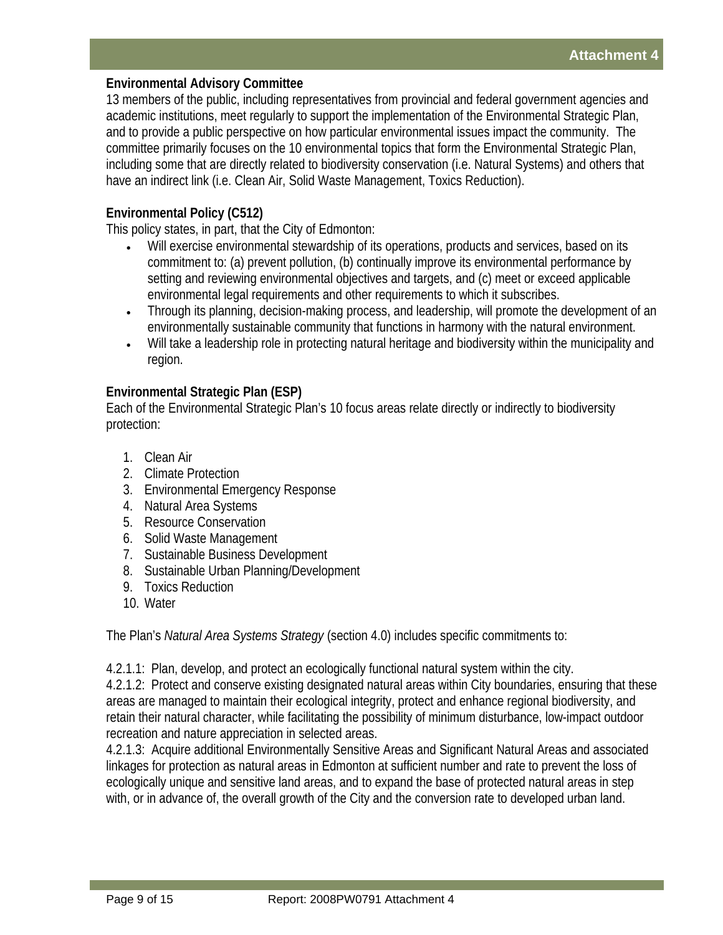#### **Environmental Advisory Committee**

13 members of the public, including representatives from provincial and federal government agencies and academic institutions, meet regularly to support the implementation of the Environmental Strategic Plan, and to provide a public perspective on how particular environmental issues impact the community. The committee primarily focuses on the 10 environmental topics that form the Environmental Strategic Plan, including some that are directly related to biodiversity conservation (i.e. Natural Systems) and others that have an indirect link (i.e. Clean Air, Solid Waste Management, Toxics Reduction).

### **Environmental Policy (C512)**

This policy states, in part, that the City of Edmonton:

- Will exercise environmental stewardship of its operations, products and services, based on its commitment to: (a) prevent pollution, (b) continually improve its environmental performance by setting and reviewing environmental objectives and targets, and (c) meet or exceed applicable environmental legal requirements and other requirements to which it subscribes.
- Through its planning, decision-making process, and leadership, will promote the development of an environmentally sustainable community that functions in harmony with the natural environment.
- Will take a leadership role in protecting natural heritage and biodiversity within the municipality and region.

#### **Environmental Strategic Plan (ESP)**

Each of the Environmental Strategic Plan's 10 focus areas relate directly or indirectly to biodiversity protection:

- 1. Clean Air
- 2. Climate Protection
- 3. Environmental Emergency Response
- 4. Natural Area Systems
- 5. Resource Conservation
- 6. Solid Waste Management
- 7. Sustainable Business Development
- 8. Sustainable Urban Planning/Development
- 9. Toxics Reduction
- 10. Water

The Plan's *Natural Area Systems Strategy* (section 4.0) includes specific commitments to:

4.2.1.1: Plan, develop, and protect an ecologically functional natural system within the city.

4.2.1.2: Protect and conserve existing designated natural areas within City boundaries, ensuring that these areas are managed to maintain their ecological integrity, protect and enhance regional biodiversity, and retain their natural character, while facilitating the possibility of minimum disturbance, low-impact outdoor recreation and nature appreciation in selected areas.

4.2.1.3: Acquire additional Environmentally Sensitive Areas and Significant Natural Areas and associated linkages for protection as natural areas in Edmonton at sufficient number and rate to prevent the loss of ecologically unique and sensitive land areas, and to expand the base of protected natural areas in step with, or in advance of, the overall growth of the City and the conversion rate to developed urban land.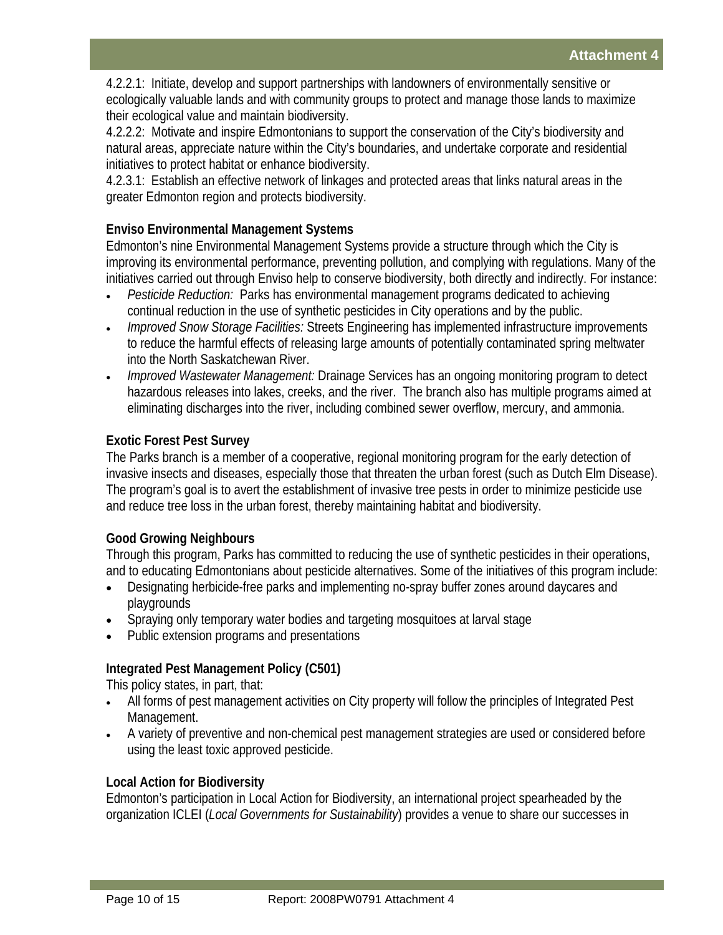4.2.2.1: Initiate, develop and support partnerships with landowners of environmentally sensitive or ecologically valuable lands and with community groups to protect and manage those lands to maximize their ecological value and maintain biodiversity.

4.2.2.2: Motivate and inspire Edmontonians to support the conservation of the City's biodiversity and natural areas, appreciate nature within the City's boundaries, and undertake corporate and residential initiatives to protect habitat or enhance biodiversity.

4.2.3.1: Establish an effective network of linkages and protected areas that links natural areas in the greater Edmonton region and protects biodiversity.

### **Enviso Environmental Management Systems**

Edmonton's nine Environmental Management Systems provide a structure through which the City is improving its environmental performance, preventing pollution, and complying with regulations. Many of the initiatives carried out through Enviso help to conserve biodiversity, both directly and indirectly. For instance:

- *Pesticide Reduction:* Parks has environmental management programs dedicated to achieving continual reduction in the use of synthetic pesticides in City operations and by the public.
- *Improved Snow Storage Facilities:* Streets Engineering has implemented infrastructure improvements to reduce the harmful effects of releasing large amounts of potentially contaminated spring meltwater into the North Saskatchewan River.
- *Improved Wastewater Management:* Drainage Services has an ongoing monitoring program to detect hazardous releases into lakes, creeks, and the river. The branch also has multiple programs aimed at eliminating discharges into the river, including combined sewer overflow, mercury, and ammonia.

### **Exotic Forest Pest Survey**

The Parks branch is a member of a cooperative, regional monitoring program for the early detection of invasive insects and diseases, especially those that threaten the urban forest (such as Dutch Elm Disease). The program's goal is to avert the establishment of invasive tree pests in order to minimize pesticide use and reduce tree loss in the urban forest, thereby maintaining habitat and biodiversity.

### **Good Growing Neighbours**

Through this program, Parks has committed to reducing the use of synthetic pesticides in their operations, and to educating Edmontonians about pesticide alternatives. Some of the initiatives of this program include:

- Designating herbicide-free parks and implementing no-spray buffer zones around daycares and playgrounds
- Spraying only temporary water bodies and targeting mosquitoes at larval stage
- Public extension programs and presentations

### **Integrated Pest Management Policy (C501)**

This policy states, in part, that:

- All forms of pest management activities on City property will follow the principles of Integrated Pest Management.
- A variety of preventive and non-chemical pest management strategies are used or considered before using the least toxic approved pesticide.

### **Local Action for Biodiversity**

Edmonton's participation in Local Action for Biodiversity, an international project spearheaded by the organization ICLEI (*Local Governments for Sustainability*) provides a venue to share our successes in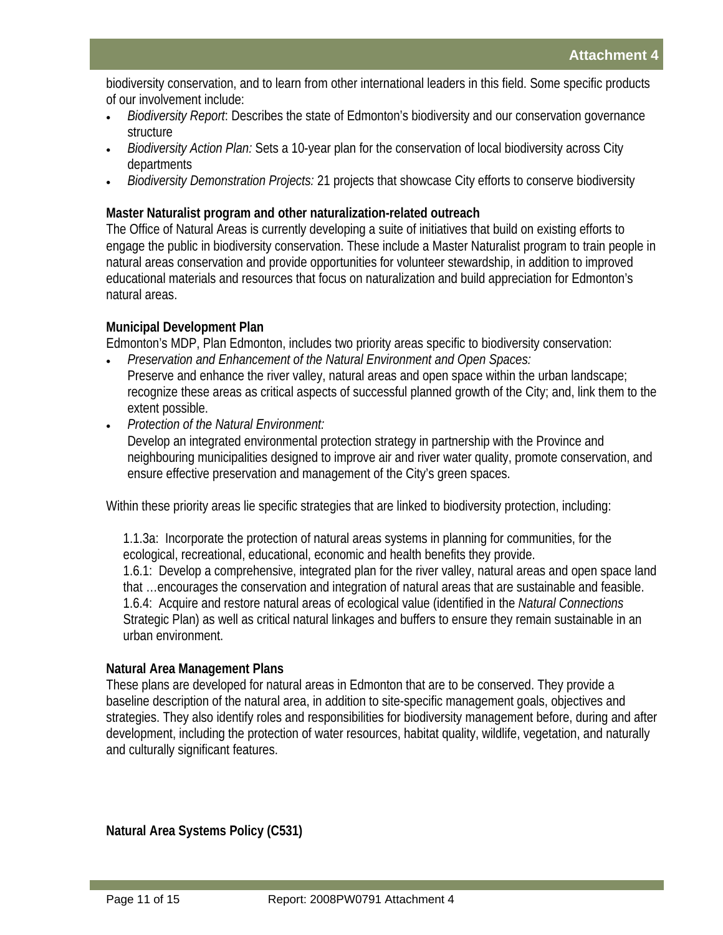biodiversity conservation, and to learn from other international leaders in this field. Some specific products of our involvement include:

- *Biodiversity Report*: Describes the state of Edmonton's biodiversity and our conservation governance structure
- *Biodiversity Action Plan:* Sets a 10-year plan for the conservation of local biodiversity across City departments
- *Biodiversity Demonstration Projects:* 21 projects that showcase City efforts to conserve biodiversity

#### **Master Naturalist program and other naturalization-related outreach**

The Office of Natural Areas is currently developing a suite of initiatives that build on existing efforts to engage the public in biodiversity conservation. These include a Master Naturalist program to train people in natural areas conservation and provide opportunities for volunteer stewardship, in addition to improved educational materials and resources that focus on naturalization and build appreciation for Edmonton's natural areas.

#### **Municipal Development Plan**

Edmonton's MDP, Plan Edmonton, includes two priority areas specific to biodiversity conservation:

- *Preservation and Enhancement of the Natural Environment and Open Spaces:*  Preserve and enhance the river valley, natural areas and open space within the urban landscape; recognize these areas as critical aspects of successful planned growth of the City; and, link them to the extent possible.
- *Protection of the Natural Environment:*  Develop an integrated environmental protection strategy in partnership with the Province and neighbouring municipalities designed to improve air and river water quality, promote conservation, and

ensure effective preservation and management of the City's green spaces.

Within these priority areas lie specific strategies that are linked to biodiversity protection, including:

1.1.3a: Incorporate the protection of natural areas systems in planning for communities, for the ecological, recreational, educational, economic and health benefits they provide. 1.6.1: Develop a comprehensive, integrated plan for the river valley, natural areas and open space land that …encourages the conservation and integration of natural areas that are sustainable and feasible. 1.6.4: Acquire and restore natural areas of ecological value (identified in the *Natural Connections*  Strategic Plan) as well as critical natural linkages and buffers to ensure they remain sustainable in an urban environment.

### **Natural Area Management Plans**

These plans are developed for natural areas in Edmonton that are to be conserved. They provide a baseline description of the natural area, in addition to site-specific management goals, objectives and strategies. They also identify roles and responsibilities for biodiversity management before, during and after development, including the protection of water resources, habitat quality, wildlife, vegetation, and naturally and culturally significant features.

**Natural Area Systems Policy (C531)**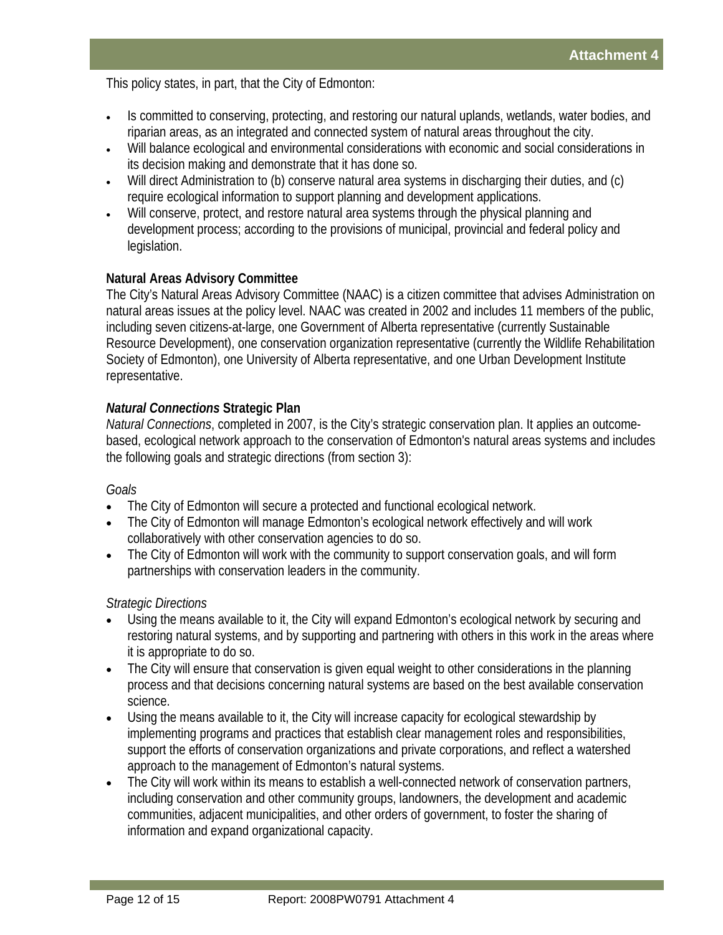This policy states, in part, that the City of Edmonton:

- Is committed to conserving, protecting, and restoring our natural uplands, wetlands, water bodies, and riparian areas, as an integrated and connected system of natural areas throughout the city.
- Will balance ecological and environmental considerations with economic and social considerations in its decision making and demonstrate that it has done so.
- Will direct Administration to (b) conserve natural area systems in discharging their duties, and (c) require ecological information to support planning and development applications.
- Will conserve, protect, and restore natural area systems through the physical planning and development process; according to the provisions of municipal, provincial and federal policy and legislation.

#### **Natural Areas Advisory Committee**

The City's Natural Areas Advisory Committee (NAAC) is a citizen committee that advises Administration on natural areas issues at the policy level. NAAC was created in 2002 and includes 11 members of the public, including seven citizens-at-large, one Government of Alberta representative (currently Sustainable Resource Development), one conservation organization representative (currently the Wildlife Rehabilitation Society of Edmonton), one University of Alberta representative, and one Urban Development Institute representative.

#### *Natural Connections* **Strategic Plan**

*Natural Connections*, completed in 2007, is the City's strategic conservation plan. It applies an outcomebased, ecological network approach to the conservation of Edmonton's natural areas systems and includes the following goals and strategic directions (from section 3):

#### *Goals*

- The City of Edmonton will secure a protected and functional ecological network.
- The City of Edmonton will manage Edmonton's ecological network effectively and will work collaboratively with other conservation agencies to do so.
- The City of Edmonton will work with the community to support conservation goals, and will form partnerships with conservation leaders in the community.

#### *Strategic Directions*

- Using the means available to it, the City will expand Edmonton's ecological network by securing and restoring natural systems, and by supporting and partnering with others in this work in the areas where it is appropriate to do so.
- The City will ensure that conservation is given equal weight to other considerations in the planning process and that decisions concerning natural systems are based on the best available conservation science.
- Using the means available to it, the City will increase capacity for ecological stewardship by implementing programs and practices that establish clear management roles and responsibilities, support the efforts of conservation organizations and private corporations, and reflect a watershed approach to the management of Edmonton's natural systems.
- The City will work within its means to establish a well-connected network of conservation partners, including conservation and other community groups, landowners, the development and academic communities, adjacent municipalities, and other orders of government, to foster the sharing of information and expand organizational capacity.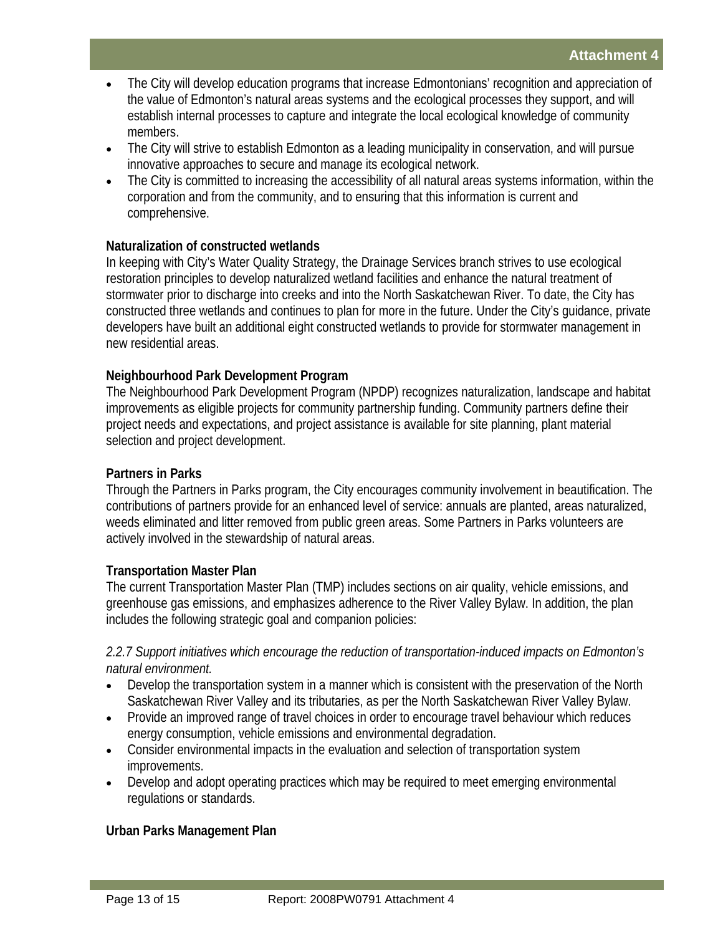- The City will develop education programs that increase Edmontonians' recognition and appreciation of the value of Edmonton's natural areas systems and the ecological processes they support, and will establish internal processes to capture and integrate the local ecological knowledge of community members.
- The City will strive to establish Edmonton as a leading municipality in conservation, and will pursue innovative approaches to secure and manage its ecological network.
- The City is committed to increasing the accessibility of all natural areas systems information, within the corporation and from the community, and to ensuring that this information is current and comprehensive.

#### **Naturalization of constructed wetlands**

In keeping with City's Water Quality Strategy, the Drainage Services branch strives to use ecological restoration principles to develop naturalized wetland facilities and enhance the natural treatment of stormwater prior to discharge into creeks and into the North Saskatchewan River. To date, the City has constructed three wetlands and continues to plan for more in the future. Under the City's guidance, private developers have built an additional eight constructed wetlands to provide for stormwater management in new residential areas.

#### **Neighbourhood Park Development Program**

The Neighbourhood Park Development Program (NPDP) recognizes naturalization, landscape and habitat improvements as eligible projects for community partnership funding. Community partners define their project needs and expectations, and project assistance is available for site planning, plant material selection and project development.

#### **Partners in Parks**

Through the Partners in Parks program, the City encourages community involvement in beautification. The contributions of partners provide for an enhanced level of service: annuals are planted, areas naturalized, weeds eliminated and litter removed from public green areas. Some Partners in Parks volunteers are actively involved in the stewardship of natural areas.

#### **Transportation Master Plan**

The current Transportation Master Plan (TMP) includes sections on air quality, vehicle emissions, and greenhouse gas emissions, and emphasizes adherence to the River Valley Bylaw. In addition, the plan includes the following strategic goal and companion policies:

#### *2.2.7 Support initiatives which encourage the reduction of transportation-induced impacts on Edmonton's natural environment.*

- Develop the transportation system in a manner which is consistent with the preservation of the North Saskatchewan River Valley and its tributaries, as per the North Saskatchewan River Valley Bylaw.
- Provide an improved range of travel choices in order to encourage travel behaviour which reduces energy consumption, vehicle emissions and environmental degradation.
- Consider environmental impacts in the evaluation and selection of transportation system improvements.
- Develop and adopt operating practices which may be required to meet emerging environmental regulations or standards.

### **Urban Parks Management Plan**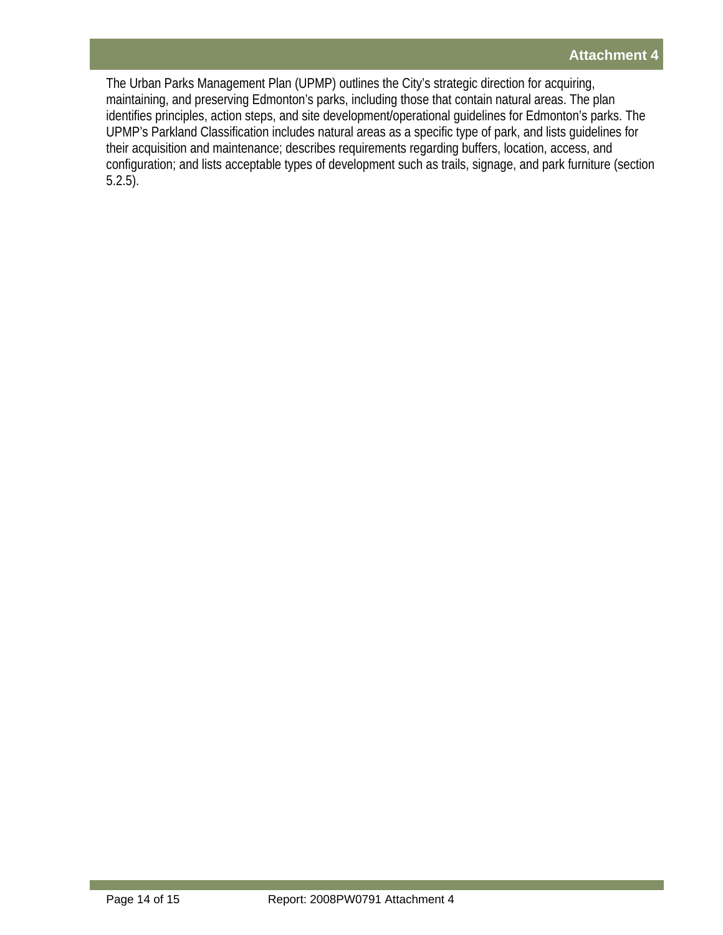The Urban Parks Management Plan (UPMP) outlines the City's strategic direction for acquiring, maintaining, and preserving Edmonton's parks, including those that contain natural areas. The plan identifies principles, action steps, and site development/operational guidelines for Edmonton's parks. The UPMP's Parkland Classification includes natural areas as a specific type of park, and lists guidelines for their acquisition and maintenance; describes requirements regarding buffers, location, access, and configuration; and lists acceptable types of development such as trails, signage, and park furniture (section 5.2.5).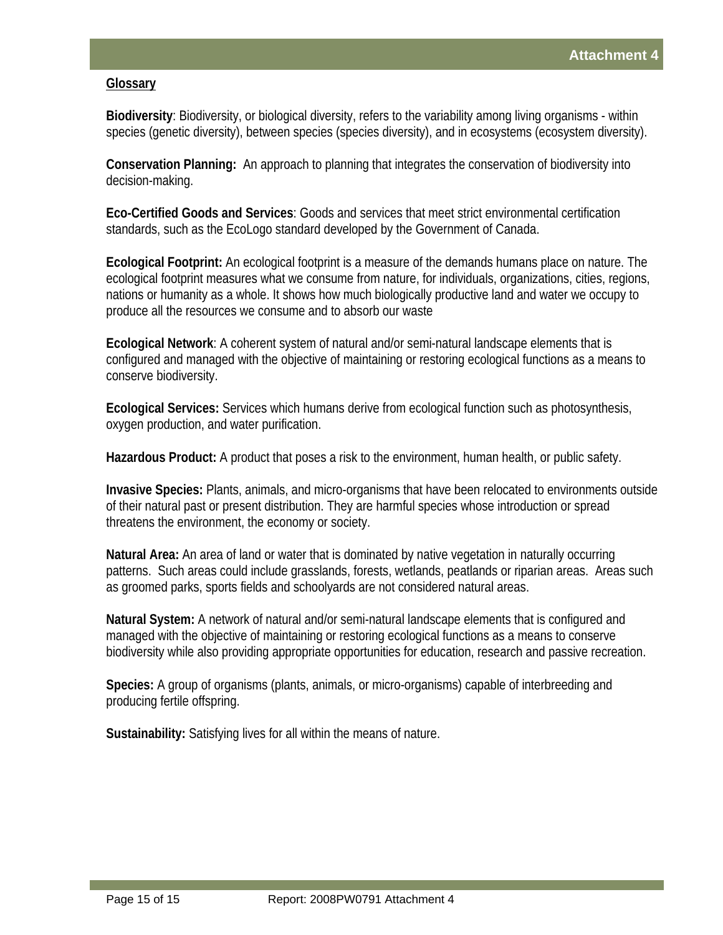#### **Glossary**

**Biodiversity**: Biodiversity, or biological diversity, refers to the variability among living organisms - within species (genetic diversity), between species (species diversity), and in ecosystems (ecosystem diversity).

**Conservation Planning:** An approach to planning that integrates the conservation of biodiversity into decision-making.

**Eco-Certified Goods and Services**: Goods and services that meet strict environmental certification standards, such as the EcoLogo standard developed by the Government of Canada.

**Ecological Footprint:** An ecological footprint is a measure of the demands humans place on nature. The ecological footprint measures what we consume from nature, for individuals, organizations, cities, regions, nations or humanity as a whole. It shows how much biologically productive land and water we occupy to produce all the resources we consume and to absorb our waste

**Ecological Network**: A coherent system of natural and/or semi-natural landscape elements that is configured and managed with the objective of maintaining or restoring ecological functions as a means to conserve biodiversity.

**Ecological Services:** Services which humans derive from ecological function such as photosynthesis, oxygen production, and water purification.

**Hazardous Product:** A product that poses a risk to the environment, human health, or public safety.

**Invasive Species:** Plants, animals, and micro-organisms that have been relocated to environments outside of their natural past or present distribution. They are harmful species whose introduction or spread threatens the environment, the economy or society.

**Natural Area:** An area of land or water that is dominated by native vegetation in naturally occurring patterns. Such areas could include grasslands, forests, wetlands, peatlands or riparian areas. Areas such as groomed parks, sports fields and schoolyards are not considered natural areas.

**Natural System:** A network of natural and/or semi-natural landscape elements that is configured and managed with the objective of maintaining or restoring ecological functions as a means to conserve biodiversity while also providing appropriate opportunities for education, research and passive recreation.

**Species:** A group of organisms (plants, animals, or micro-organisms) capable of interbreeding and producing fertile offspring.

**Sustainability:** Satisfying lives for all within the means of nature.